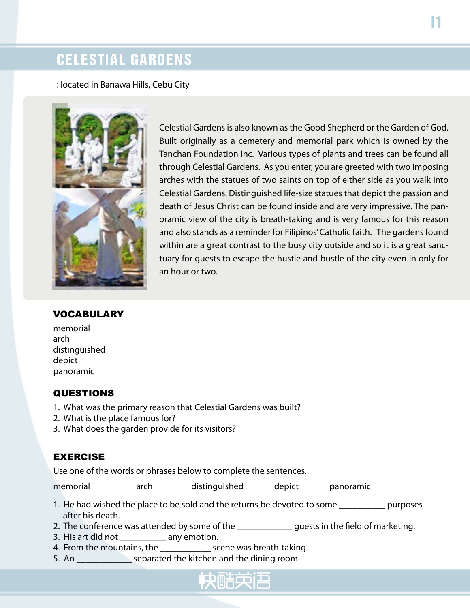## CELESTIAL GARDENS

: located in Banawa Hills, Cebu City



Celestial Gardens is also known as the Good Shepherd or the Garden of God. Built originally as a cemetery and memorial park which is owned by the Tanchan Foundation Inc. Various types of plants and trees can be found all through Celestial Gardens. As you enter, you are greeted with two imposing arches with the statues of two saints on top of either side as you walk into Celestial Gardens. Distinguished life-size statues that depict the passion and death of Jesus Christ can be found inside and are very impressive. The panoramic view of the city is breath-taking and is very famous for this reason and also stands as a reminder for Filipinos' Catholic faith. The gardens found within are a great contrast to the busy city outside and so it is a great sanctuary for guests to escape the hustle and bustle of the city even in only for an hour or two.

#### **VOCABULARY**

memorial arch distinguished depict panoramic

#### QUESTIONS

- 1. What was the primary reason that Celestial Gardens was built?
- 2. What is the place famous for?
- 3. What does the garden provide for its visitors?

### EXERCISE

Use one of the words or phrases below to complete the sentences.

memorial arch distinguished depict panoramic

- 1. He had wished the place to be sold and the returns be devoted to some \_\_\_\_\_\_\_\_\_\_ purposes after his death.
- 2. The conference was attended by some of the \_\_\_\_\_\_\_\_\_\_\_\_\_\_\_ guests in the field of marketing.
- 3. His art did not \_\_\_\_\_\_\_\_\_\_ any emotion.
- 4. From the mountains, the \_\_\_\_\_\_\_\_\_\_\_ scene was breath-taking.
- 5. An **Example 2.1** separated the kitchen and the dining room.

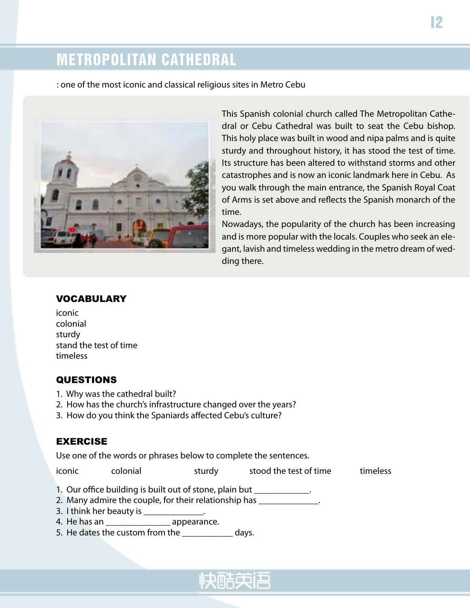# METROPOLITAN CATHEDRAL

: one of the most iconic and classical religious sites in Metro Cebu



This Spanish colonial church called The Metropolitan Cathedral or Cebu Cathedral was built to seat the Cebu bishop. This holy place was built in wood and nipa palms and is quite sturdy and throughout history, it has stood the test of time. Its structure has been altered to withstand storms and other catastrophes and is now an iconic landmark here in Cebu. As you walk through the main entrance, the Spanish Royal Coat of Arms is set above and reflects the Spanish monarch of the time.

Nowadays, the popularity of the church has been increasing and is more popular with the locals. Couples who seek an elegant, lavish and timeless wedding in the metro dream of wedding there.

#### VOCABULARY

#### **QUESTIONS**

- 1. Why was the cathedral built?
- 2. How has the church's infrastructure changed over the years?
- 3. How do you think the Spaniards affected Cebu's culture?

#### EXERCISE

Use one of the words or phrases below to complete the sentences.

iconic colonial sturdy stood the test of time timeless

- 1. Our office building is built out of stone, plain but \_\_\_\_\_\_\_\_\_\_\_\_\_.
- 2. Many admire the couple, for their relationship has \_\_\_\_\_\_\_\_\_\_\_\_\_.
- 3. I think her beauty is  $\qquad \qquad$ .
- 4. He has an \_\_\_\_\_\_\_\_\_\_\_\_\_\_ appearance.
- 5. He dates the custom from the days.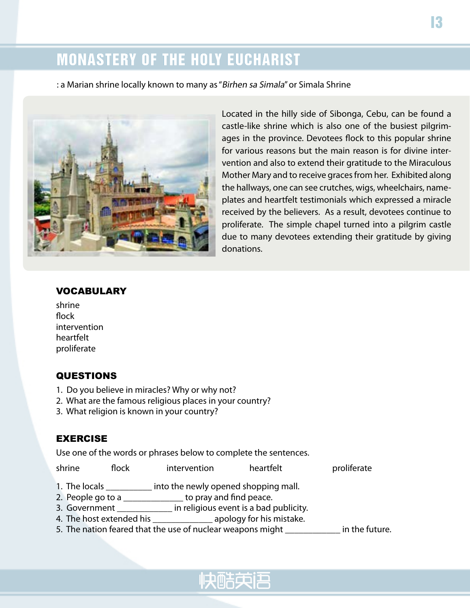# MONASTERY OF THE HOLY EUCHARIST

: a Marian shrine locally known to many as "Birhen sa Simala" or Simala Shrine



Located in the hilly side of Sibonga, Cebu, can be found a castle-like shrine which is also one of the busiest pilgrimages in the province. Devotees flock to this popular shrine for various reasons but the main reason is for divine intervention and also to extend their gratitude to the Miraculous Mother Mary and to receive graces from her. Exhibited along the hallways, one can see crutches, wigs, wheelchairs, nameplates and heartfelt testimonials which expressed a miracle received by the believers. As a result, devotees continue to proliferate. The simple chapel turned into a pilgrim castle due to many devotees extending their gratitude by giving donations.

#### VOCABULARY

shrine flock intervention heartfelt proliferate

#### QUESTIONS

- 1. Do you believe in miracles? Why or why not?
- 2. What are the famous religious places in your country?
- 3. What religion is known in your country?

#### EXERCISE

Use one of the words or phrases below to complete the sentences.

| shrine | flock | intervention | heartfelt | proliferate |
|--------|-------|--------------|-----------|-------------|
|--------|-------|--------------|-----------|-------------|

- 1. The locals \_\_\_\_\_\_\_\_\_\_ into the newly opened shopping mall.
- 2. People go to a \_\_\_\_\_\_\_\_\_\_\_\_\_\_ to pray and find peace.
- 3. Government \_\_\_\_\_\_\_\_\_\_\_\_\_\_\_\_\_ in religious event is a bad publicity.
- 4. The host extended his \_\_\_\_\_\_\_\_\_\_\_\_\_ apology for his mistake.
- 5. The nation feared that the use of nuclear weapons might \_\_\_\_\_\_\_\_\_\_\_\_\_ in the future.

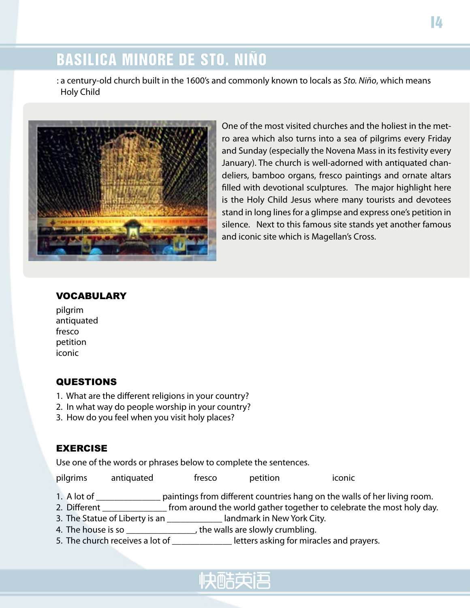# BASILICA MINORE DE STO. NIÑO

: a century-old church built in the 1600's and commonly known to locals as *Sto. Niño*, which means Holy Child



One of the most visited churches and the holiest in the metro area which also turns into a sea of pilgrims every Friday and Sunday (especially the Novena Mass in its festivity every January). The church is well-adorned with antiquated chandeliers, bamboo organs, fresco paintings and ornate altars filled with devotional sculptures. The major highlight here is the Holy Child Jesus where many tourists and devotees stand in long lines for a glimpse and express one's petition in silence. Next to this famous site stands yet another famous and iconic site which is Magellan's Cross.

#### VOCABULARY

pilgrim antiquated fresco petition iconic

#### **QUESTIONS**

- 1. What are the different religions in your country?
- 2. In what way do people worship in your country?
- 3. How do you feel when you visit holy places?

#### EXERCISE

Use one of the words or phrases below to complete the sentences.

| pilgrims | antiquated | tresco | petition | <b>ICONIC</b> |
|----------|------------|--------|----------|---------------|
|          |            |        |          |               |

- 1. A lot of \_\_\_\_\_\_\_\_\_\_\_\_\_\_\_ paintings from different countries hang on the walls of her living room.
- 2. Different \_\_\_\_\_\_\_\_\_\_\_\_\_\_\_\_\_ from around the world gather together to celebrate the most holy day.
- 3. The Statue of Liberty is an \_\_\_\_\_\_\_\_\_\_\_\_ landmark in New York City.
- 4. The house is so  $\frac{1}{\sqrt{1-\frac{1}{n}}}\$ , the walls are slowly crumbling.
- 5. The church receives a lot of \_\_\_\_\_\_\_\_\_\_\_\_\_\_\_\_ letters asking for miracles and prayers.